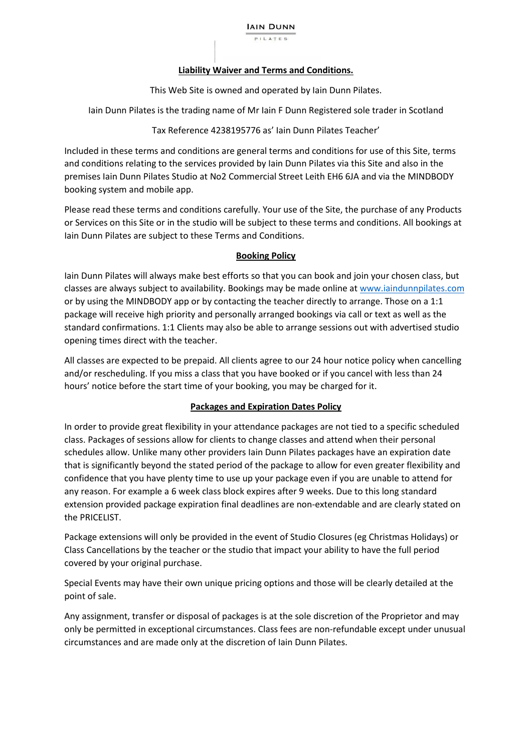#### **Liability Waiver and Terms and Conditions.**

This Web Site is owned and operated by Iain Dunn Pilates.

Iain Dunn Pilates is the trading name of Mr Iain F Dunn Registered sole trader in Scotland

#### Tax Reference 4238195776 as' Iain Dunn Pilates Teacher'

Included in these terms and conditions are general terms and conditions for use of this Site, terms and conditions relating to the services provided by Iain Dunn Pilates via this Site and also in the premises Iain Dunn Pilates Studio at No2 Commercial Street Leith EH6 6JA and via the MINDBODY booking system and mobile app.

Please read these terms and conditions carefully. Your use of the Site, the purchase of any Products or Services on this Site or in the studio will be subject to these terms and conditions. All bookings at Iain Dunn Pilates are subject to these Terms and Conditions.

# **Booking Policy**

Iain Dunn Pilates will always make best efforts so that you can book and join your chosen class, but classes are always subject to availability. Bookings may be made online at www.iaindunnpilates.com or by using the MINDBODY app or by contacting the teacher directly to arrange. Those on a 1:1 package will receive high priority and personally arranged bookings via call or text as well as the standard confirmations. 1:1 Clients may also be able to arrange sessions out with advertised studio opening times direct with the teacher.

All classes are expected to be prepaid. All clients agree to our 24 hour notice policy when cancelling and/or rescheduling. If you miss a class that you have booked or if you cancel with less than 24 hours' notice before the start time of your booking, you may be charged for it.

# **Packages and Expiration Dates Policy**

In order to provide great flexibility in your attendance packages are not tied to a specific scheduled class. Packages of sessions allow for clients to change classes and attend when their personal schedules allow. Unlike many other providers Iain Dunn Pilates packages have an expiration date that is significantly beyond the stated period of the package to allow for even greater flexibility and confidence that you have plenty time to use up your package even if you are unable to attend for any reason. For example a 6 week class block expires after 9 weeks. Due to this long standard extension provided package expiration final deadlines are non-extendable and are clearly stated on the PRICELIST.

Package extensions will only be provided in the event of Studio Closures (eg Christmas Holidays) or Class Cancellations by the teacher or the studio that impact your ability to have the full period covered by your original purchase.

Special Events may have their own unique pricing options and those will be clearly detailed at the point of sale.

Any assignment, transfer or disposal of packages is at the sole discretion of the Proprietor and may only be permitted in exceptional circumstances. Class fees are non-refundable except under unusual circumstances and are made only at the discretion of Iain Dunn Pilates.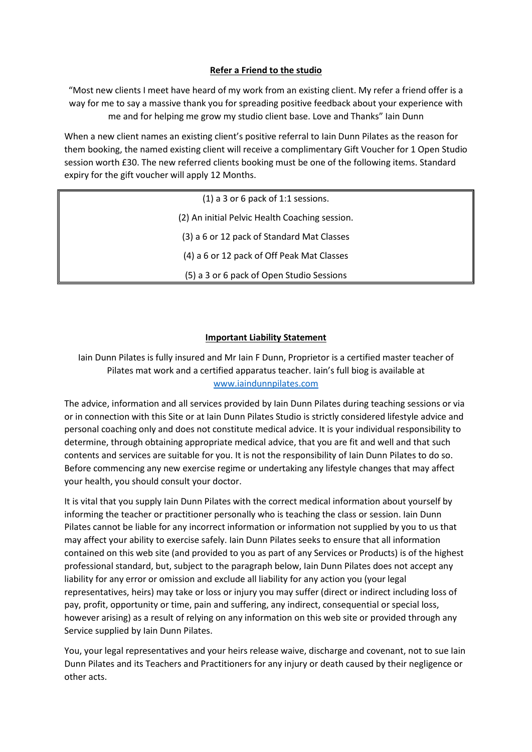# **Refer a Friend to the studio**

"Most new clients I meet have heard of my work from an existing client. My refer a friend offer is a way for me to say a massive thank you for spreading positive feedback about your experience with me and for helping me grow my studio client base. Love and Thanks" Iain Dunn

When a new client names an existing client's positive referral to Iain Dunn Pilates as the reason for them booking, the named existing client will receive a complimentary Gift Voucher for 1 Open Studio session worth £30. The new referred clients booking must be one of the following items. Standard expiry for the gift voucher will apply 12 Months.

| $(1)$ a 3 or 6 pack of 1:1 sessions.           |
|------------------------------------------------|
| (2) An initial Pelvic Health Coaching session. |
| (3) a 6 or 12 pack of Standard Mat Classes     |
| (4) a 6 or 12 pack of Off Peak Mat Classes     |
| (5) a 3 or 6 pack of Open Studio Sessions      |

# **Important Liability Statement**

# Iain Dunn Pilates is fully insured and Mr Iain F Dunn, Proprietor is a certified master teacher of Pilates mat work and a certified apparatus teacher. Iain's full biog is available at www.iaindunnpilates.com

The advice, information and all services provided by Iain Dunn Pilates during teaching sessions or via or in connection with this Site or at Iain Dunn Pilates Studio is strictly considered lifestyle advice and personal coaching only and does not constitute medical advice. It is your individual responsibility to determine, through obtaining appropriate medical advice, that you are fit and well and that such contents and services are suitable for you. It is not the responsibility of Iain Dunn Pilates to do so. Before commencing any new exercise regime or undertaking any lifestyle changes that may affect your health, you should consult your doctor.

It is vital that you supply Iain Dunn Pilates with the correct medical information about yourself by informing the teacher or practitioner personally who is teaching the class or session. Iain Dunn Pilates cannot be liable for any incorrect information or information not supplied by you to us that may affect your ability to exercise safely. Iain Dunn Pilates seeks to ensure that all information contained on this web site (and provided to you as part of any Services or Products) is of the highest professional standard, but, subject to the paragraph below, Iain Dunn Pilates does not accept any liability for any error or omission and exclude all liability for any action you (your legal representatives, heirs) may take or loss or injury you may suffer (direct or indirect including loss of pay, profit, opportunity or time, pain and suffering, any indirect, consequential or special loss, however arising) as a result of relying on any information on this web site or provided through any Service supplied by Iain Dunn Pilates.

You, your legal representatives and your heirs release waive, discharge and covenant, not to sue Iain Dunn Pilates and its Teachers and Practitioners for any injury or death caused by their negligence or other acts.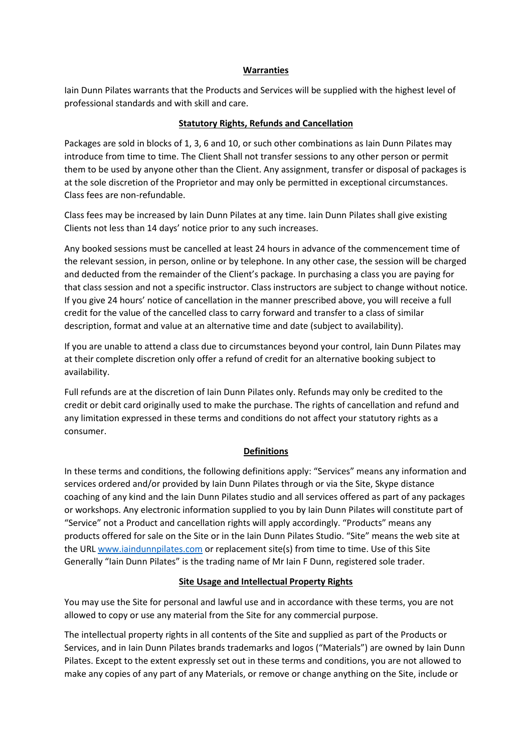#### **Warranties**

Iain Dunn Pilates warrants that the Products and Services will be supplied with the highest level of professional standards and with skill and care.

#### **Statutory Rights, Refunds and Cancellation**

Packages are sold in blocks of 1, 3, 6 and 10, or such other combinations as Iain Dunn Pilates may introduce from time to time. The Client Shall not transfer sessions to any other person or permit them to be used by anyone other than the Client. Any assignment, transfer or disposal of packages is at the sole discretion of the Proprietor and may only be permitted in exceptional circumstances. Class fees are non-refundable.

Class fees may be increased by Iain Dunn Pilates at any time. Iain Dunn Pilates shall give existing Clients not less than 14 days' notice prior to any such increases.

Any booked sessions must be cancelled at least 24 hours in advance of the commencement time of the relevant session, in person, online or by telephone. In any other case, the session will be charged and deducted from the remainder of the Client's package. In purchasing a class you are paying for that class session and not a specific instructor. Class instructors are subject to change without notice. If you give 24 hours' notice of cancellation in the manner prescribed above, you will receive a full credit for the value of the cancelled class to carry forward and transfer to a class of similar description, format and value at an alternative time and date (subject to availability).

If you are unable to attend a class due to circumstances beyond your control, Iain Dunn Pilates may at their complete discretion only offer a refund of credit for an alternative booking subject to availability.

Full refunds are at the discretion of Iain Dunn Pilates only. Refunds may only be credited to the credit or debit card originally used to make the purchase. The rights of cancellation and refund and any limitation expressed in these terms and conditions do not affect your statutory rights as a consumer.

# **Definitions**

In these terms and conditions, the following definitions apply: "Services" means any information and services ordered and/or provided by Iain Dunn Pilates through or via the Site, Skype distance coaching of any kind and the Iain Dunn Pilates studio and all services offered as part of any packages or workshops. Any electronic information supplied to you by Iain Dunn Pilates will constitute part of "Service" not a Product and cancellation rights will apply accordingly. "Products" means any products offered for sale on the Site or in the Iain Dunn Pilates Studio. "Site" means the web site at the URL www.iaindunnpilates.com or replacement site(s) from time to time. Use of this Site Generally "Iain Dunn Pilates" is the trading name of Mr Iain F Dunn, registered sole trader.

# **Site Usage and Intellectual Property Rights**

You may use the Site for personal and lawful use and in accordance with these terms, you are not allowed to copy or use any material from the Site for any commercial purpose.

The intellectual property rights in all contents of the Site and supplied as part of the Products or Services, and in Iain Dunn Pilates brands trademarks and logos ("Materials") are owned by Iain Dunn Pilates. Except to the extent expressly set out in these terms and conditions, you are not allowed to make any copies of any part of any Materials, or remove or change anything on the Site, include or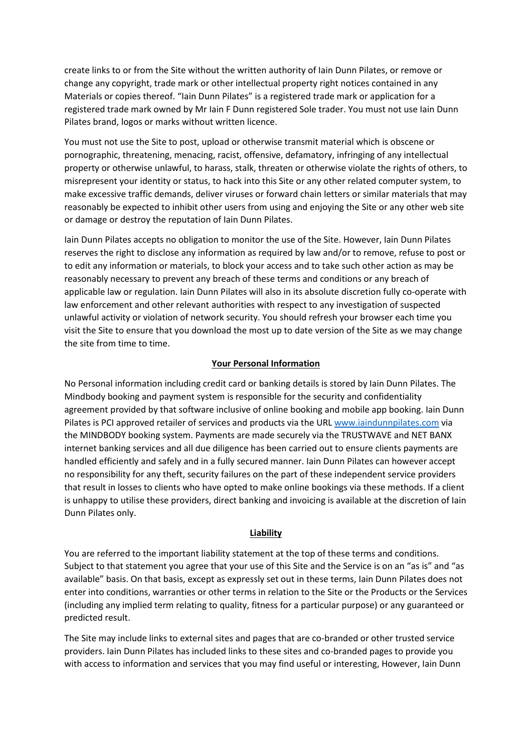create links to or from the Site without the written authority of Iain Dunn Pilates, or remove or change any copyright, trade mark or other intellectual property right notices contained in any Materials or copies thereof. "Iain Dunn Pilates" is a registered trade mark or application for a registered trade mark owned by Mr Iain F Dunn registered Sole trader. You must not use Iain Dunn Pilates brand, logos or marks without written licence.

You must not use the Site to post, upload or otherwise transmit material which is obscene or pornographic, threatening, menacing, racist, offensive, defamatory, infringing of any intellectual property or otherwise unlawful, to harass, stalk, threaten or otherwise violate the rights of others, to misrepresent your identity or status, to hack into this Site or any other related computer system, to make excessive traffic demands, deliver viruses or forward chain letters or similar materials that may reasonably be expected to inhibit other users from using and enjoying the Site or any other web site or damage or destroy the reputation of Iain Dunn Pilates.

Iain Dunn Pilates accepts no obligation to monitor the use of the Site. However, Iain Dunn Pilates reserves the right to disclose any information as required by law and/or to remove, refuse to post or to edit any information or materials, to block your access and to take such other action as may be reasonably necessary to prevent any breach of these terms and conditions or any breach of applicable law or regulation. Iain Dunn Pilates will also in its absolute discretion fully co-operate with law enforcement and other relevant authorities with respect to any investigation of suspected unlawful activity or violation of network security. You should refresh your browser each time you visit the Site to ensure that you download the most up to date version of the Site as we may change the site from time to time.

#### **Your Personal Information**

No Personal information including credit card or banking details is stored by Iain Dunn Pilates. The Mindbody booking and payment system is responsible for the security and confidentiality agreement provided by that software inclusive of online booking and mobile app booking. Iain Dunn Pilates is PCI approved retailer of services and products via the URL www.iaindunnpilates.com via the MINDBODY booking system. Payments are made securely via the TRUSTWAVE and NET BANX internet banking services and all due diligence has been carried out to ensure clients payments are handled efficiently and safely and in a fully secured manner. Iain Dunn Pilates can however accept no responsibility for any theft, security failures on the part of these independent service providers that result in losses to clients who have opted to make online bookings via these methods. If a client is unhappy to utilise these providers, direct banking and invoicing is available at the discretion of Iain Dunn Pilates only.

#### **Liability**

You are referred to the important liability statement at the top of these terms and conditions. Subject to that statement you agree that your use of this Site and the Service is on an "as is" and "as available" basis. On that basis, except as expressly set out in these terms, Iain Dunn Pilates does not enter into conditions, warranties or other terms in relation to the Site or the Products or the Services (including any implied term relating to quality, fitness for a particular purpose) or any guaranteed or predicted result.

The Site may include links to external sites and pages that are co-branded or other trusted service providers. Iain Dunn Pilates has included links to these sites and co-branded pages to provide you with access to information and services that you may find useful or interesting, However, Iain Dunn